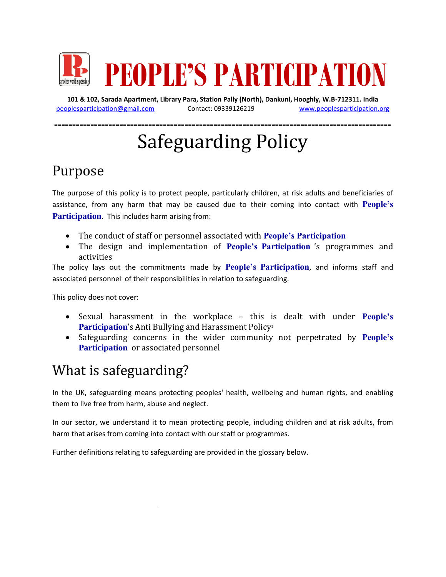

**101 & 102, Sarada Apartment, Library Para, Station Pally (North), Dankuni, Hooghly, W.B-712311. India** [peoplesparticipation@gmail.com](mailto:peoplesparticipation@gmail.com) Contact: 09339126219 [www.peoplesparticipation.org](http://www.peoplesparticipation.org/)

=============================================================================================

# Safeguarding Policy

### Purpose

The purpose of this policy is to protect people, particularly children, at risk adults and beneficiaries of assistance, from any harm that may be caused due to their coming into contact with **People's Participation**. This includes harm arising from:

- The conduct of staff or personnel associated with **People's Participation**
- The design and implementation of **People's Participation** 's programmes and activities

The policy lays out the commitments made by **People's Participation**, and informs staff and associated personnel<sup>1</sup> of their responsibilities in relation to safeguarding.

This policy does not cover:

 $\overline{\phantom{a}}$ 

- Sexual harassment in the workplace this is dealt with under **People's**  Participation's Anti Bullying and Harassment Policy<sup>2</sup>
- Safeguarding concerns in the wider community not perpetrated by **People's Participation** or associated personnel

### What is safeguarding?

In the UK, safeguarding means protecting peoples' health, wellbeing and human rights, and enabling them to live free from harm, abuse and neglect.

In our sector, we understand it to mean protecting people, including children and at risk adults, from harm that arises from coming into contact with our staff or programmes.

Further definitions relating to safeguarding are provided in the glossary below.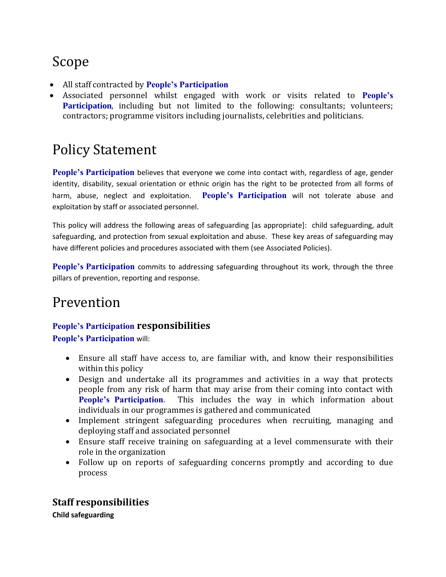# Scope

- All staff contracted by **People's Participation**
- Associated personnel whilst engaged with work or visits related to **People's Participation**, including but not limited to the following: consultants; volunteers; contractors; programme visitors including journalists, celebrities and politicians.

### Policy Statement

People's Participation believes that everyone we come into contact with, regardless of age, gender identity, disability, sexual orientation or ethnic origin has the right to be protected from all forms of harm, abuse, neglect and exploitation. **People's Participation** will not tolerate abuse and exploitation by staff or associated personnel.

This policy will address the following areas of safeguarding [as appropriate]: child safeguarding, adult safeguarding, and protection from sexual exploitation and abuse. These key areas of safeguarding may have different policies and procedures associated with them (see Associated Policies).

**People's Participation** commits to addressing safeguarding throughout its work, through the three pillars of prevention, reporting and response.

### Prevention

#### **People's Participation responsibilities**

**People's Participation** will:

- Ensure all staff have access to, are familiar with, and know their responsibilities within this policy
- Design and undertake all its programmes and activities in a way that protects people from any risk of harm that may arise from their coming into contact with **People's Participation**. This includes the way in which information about individuals in our programmes is gathered and communicated
- Implement stringent safeguarding procedures when recruiting, managing and deploying staff and associated personnel
- Ensure staff receive training on safeguarding at a level commensurate with their role in the organization
- Follow up on reports of safeguarding concerns promptly and according to due process

### **Staff responsibilities**

**Child safeguarding**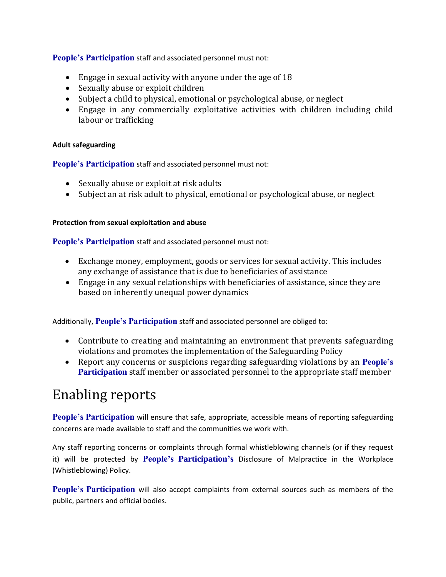**People's Participation** staff and associated personnel must not:

- Engage in sexual activity with anyone under the age of 18
- Sexually abuse or exploit children
- Subject a child to physical, emotional or psychological abuse, or neglect
- Engage in any commercially exploitative activities with children including child labour or trafficking

#### **Adult safeguarding**

**People's Participation** staff and associated personnel must not:

- Sexually abuse or exploit at risk adults
- Subject an at risk adult to physical, emotional or psychological abuse, or neglect

#### **Protection from sexual exploitation and abuse**

**People's Participation** staff and associated personnel must not:

- Exchange money, employment, goods or services for sexual activity. This includes any exchange of assistance that is due to beneficiaries of assistance
- Engage in any sexual relationships with beneficiaries of assistance, since they are based on inherently unequal power dynamics

Additionally, **People's Participation** staff and associated personnel are obliged to:

- Contribute to creating and maintaining an environment that prevents safeguarding violations and promotes the implementation of the Safeguarding Policy
- Report any concerns or suspicions regarding safeguarding violations by an **People's Participation** staff member or associated personnel to the appropriate staff member

### Enabling reports

**People's Participation** will ensure that safe, appropriate, accessible means of reporting safeguarding concerns are made available to staff and the communities we work with.

Any staff reporting concerns or complaints through formal whistleblowing channels (or if they request it) will be protected by **People's Participation's** Disclosure of Malpractice in the Workplace (Whistleblowing) Policy.

**People's Participation** will also accept complaints from external sources such as members of the public, partners and official bodies.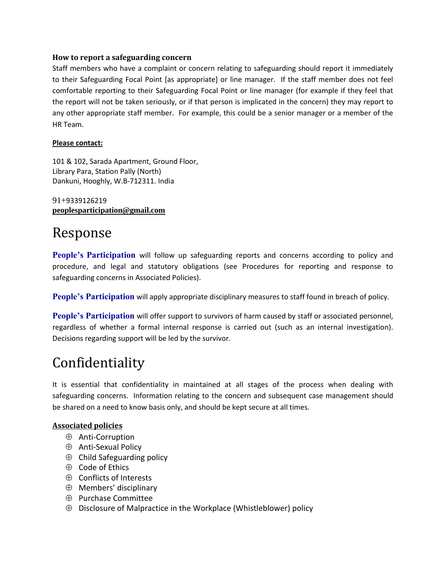#### **How to report a safeguarding concern**

Staff members who have a complaint or concern relating to safeguarding should report it immediately to their Safeguarding Focal Point [as appropriate] or line manager. If the staff member does not feel comfortable reporting to their Safeguarding Focal Point or line manager (for example if they feel that the report will not be taken seriously, or if that person is implicated in the concern) they may report to any other appropriate staff member. For example, this could be a senior manager or a member of the HR Team.

#### **Please contact:**

101 & 102, Sarada Apartment, Ground Floor, Library Para, Station Pally (North) Dankuni, Hooghly, W.B-712311. India

91+9339126219 **[peoplesparticipation@gmail.com](mailto:peoplesparticipation@gmail.com)**

### Response

**People's Participation** will follow up safeguarding reports and concerns according to policy and procedure, and legal and statutory obligations (see Procedures for reporting and response to safeguarding concerns in Associated Policies).

**People's Participation** will apply appropriate disciplinary measures to staff found in breach of policy.

**People's Participation** will offer support to survivors of harm caused by staff or associated personnel, regardless of whether a formal internal response is carried out (such as an internal investigation). Decisions regarding support will be led by the survivor.

### Confidentiality

It is essential that confidentiality in maintained at all stages of the process when dealing with safeguarding concerns. Information relating to the concern and subsequent case management should be shared on a need to know basis only, and should be kept secure at all times.

#### **Associated policies**

- $\oplus$  Anti-Corruption
- ⊕ Anti-Sexual Policy
- $\oplus$  Child Safeguarding policy
- $\oplus$  Code of Ethics
- $\oplus$  Conflicts of Interests
- $\oplus$  Members' disciplinary
- $\oplus$  Purchase Committee
- $\oplus$  Disclosure of Malpractice in the Workplace (Whistleblower) policy